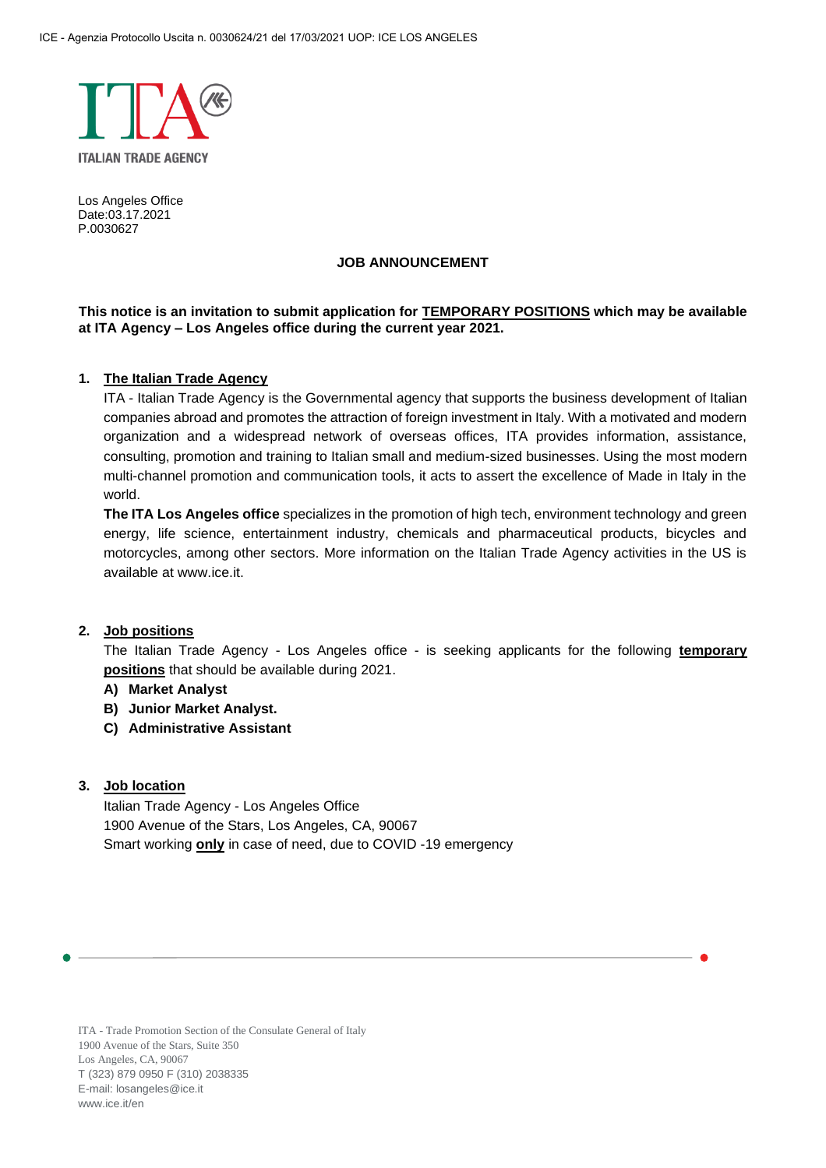

Los Angeles Office Date:03.17.2021 P.0030627

#### **JOB ANNOUNCEMENT**

#### **This notice is an invitation to submit application for TEMPORARY POSITIONS which may be available at ITA Agency – Los Angeles office during the current year 2021.**

#### **1. The Italian Trade Agency**

ITA - Italian Trade Agency is the Governmental agency that supports the business development of Italian companies abroad and promotes the attraction of foreign investment in Italy. With a motivated and modern organization and a widespread network of overseas offices, ITA provides information, assistance, consulting, promotion and training to Italian small and medium-sized businesses. Using the most modern multi-channel promotion and communication tools, it acts to assert the excellence of Made in Italy in the world.

**The ITA Los Angeles office** specializes in the promotion of high tech, environment technology and green energy, life science, entertainment industry, chemicals and pharmaceutical products, bicycles and motorcycles, among other sectors. More information on the Italian Trade Agency activities in the US is available at [www.ice.it.](http://www.ice.it/)

### **2. Job positions**

The Italian Trade Agency - Los Angeles office - is seeking applicants for the following **temporary positions** that should be available during 2021.

- **A) Market Analyst**
- **B) Junior Market Analyst.**
- **C) Administrative Assistant**

#### **3. Job location**

Italian Trade Agency - Los Angeles Office 1900 Avenue of the Stars, Los Angeles, CA, 90067 Smart working **only** in case of need, due to COVID -19 emergency

ITA - Trade Promotion Section of the Consulate General of Italy 1900 Avenue of the Stars, Suite 350 Los Angeles, CA, 90067 T (323) 879 0950 F (310) 2038335 E-mail: losangeles@ice.it [www.ice.it/e](http://www.ice.it/)n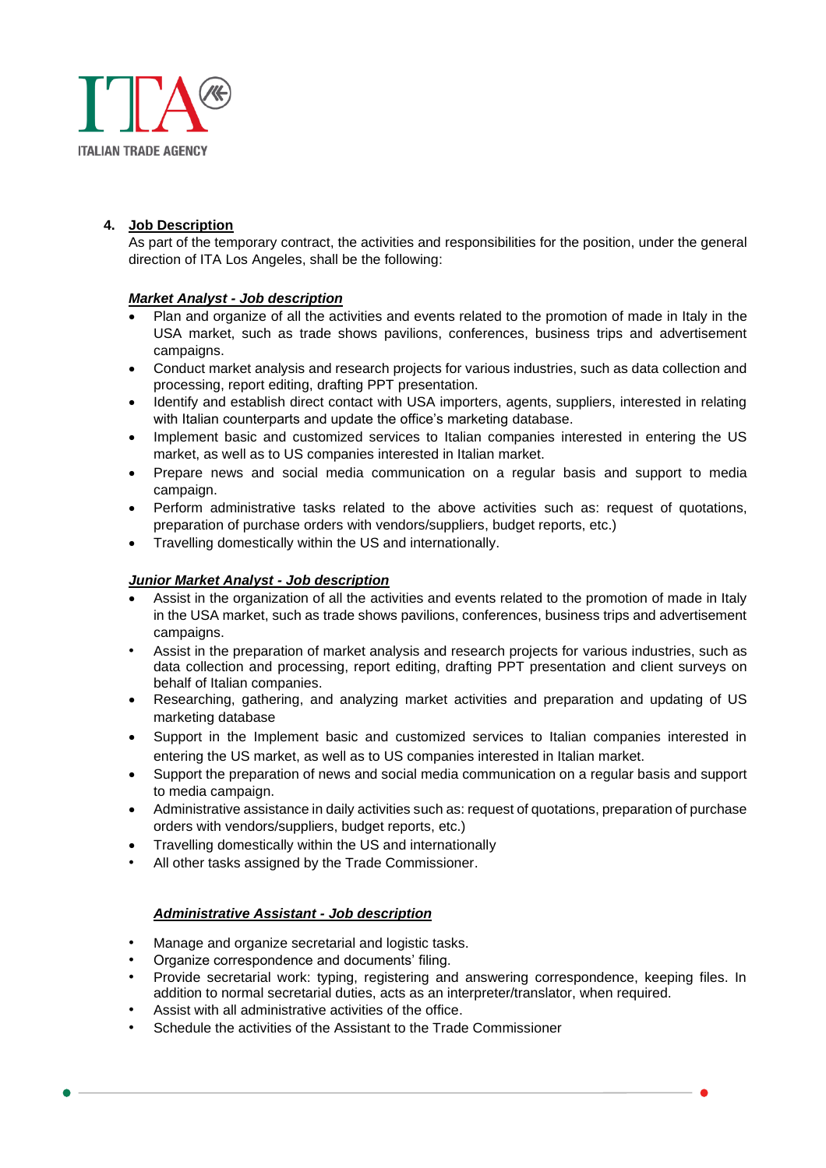

# **4. Job Description**

As part of the temporary contract, the activities and responsibilities for the position, under the general direction of ITA Los Angeles, shall be the following:

### *Market Analyst - Job description*

- Plan and organize of all the activities and events related to the promotion of made in Italy in the USA market, such as trade shows pavilions, conferences, business trips and advertisement campaigns.
- Conduct market analysis and research projects for various industries, such as data collection and processing, report editing, drafting PPT presentation.
- Identify and establish direct contact with USA importers, agents, suppliers, interested in relating with Italian counterparts and update the office's marketing database.
- Implement basic and customized services to Italian companies interested in entering the US market, as well as to US companies interested in Italian market.
- Prepare news and social media communication on a regular basis and support to media campaign.
- Perform administrative tasks related to the above activities such as: request of quotations, preparation of purchase orders with vendors/suppliers, budget reports, etc.)
- Travelling domestically within the US and internationally.

### *Junior Market Analyst - Job description*

- Assist in the organization of all the activities and events related to the promotion of made in Italy in the USA market, such as trade shows pavilions, conferences, business trips and advertisement campaigns.
- Assist in the preparation of market analysis and research projects for various industries, such as data collection and processing, report editing, drafting PPT presentation and client surveys on behalf of Italian companies.
- Researching, gathering, and analyzing market activities and preparation and updating of US marketing database
- Support in the Implement basic and customized services to Italian companies interested in entering the US market, as well as to US companies interested in Italian market.
- Support the preparation of news and social media communication on a regular basis and support to media campaign.
- Administrative assistance in daily activities such as: request of quotations, preparation of purchase orders with vendors/suppliers, budget reports, etc.)
- Travelling domestically within the US and internationally
- All other tasks assigned by the Trade Commissioner.

### *Administrative Assistant - Job description*

- Manage and organize secretarial and logistic tasks.
- Organize correspondence and documents' filing.
- Provide secretarial work: typing, registering and answering correspondence, keeping files. In addition to normal secretarial duties, acts as an interpreter/translator, when required.
- Assist with all administrative activities of the office.
- Schedule the activities of the Assistant to the Trade Commissioner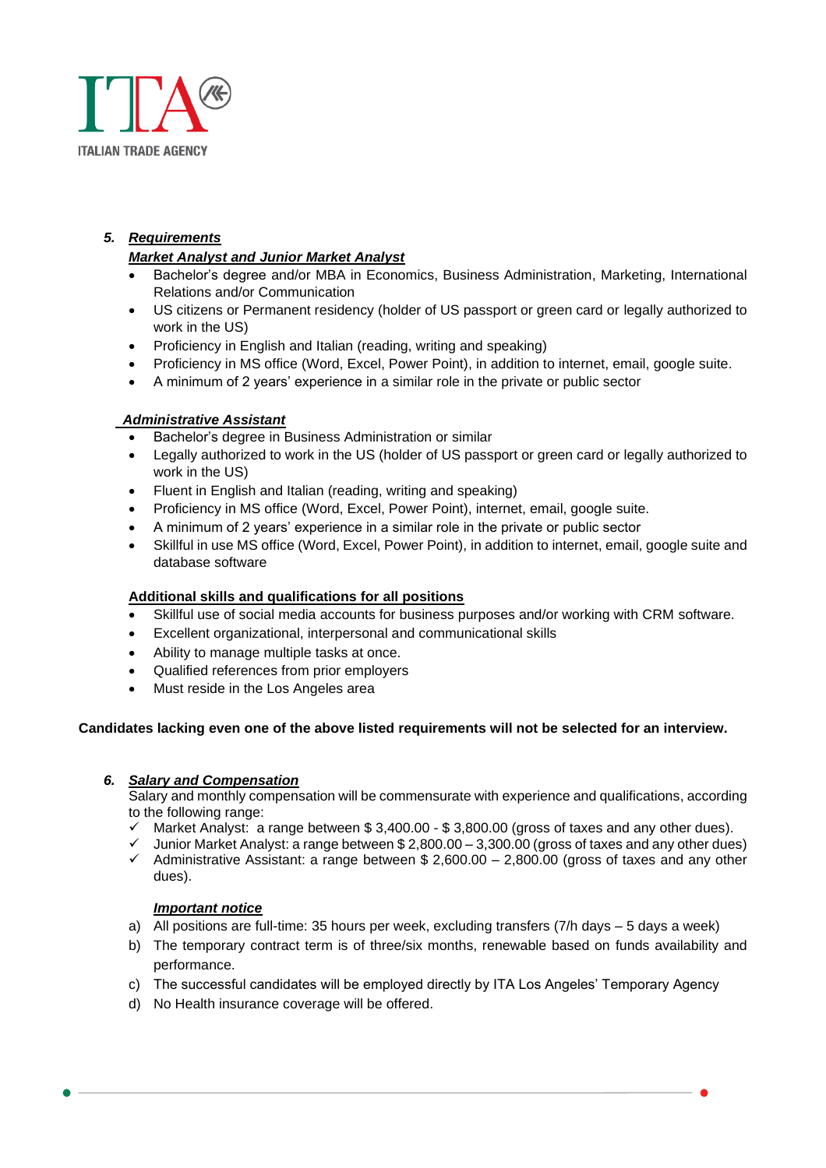

# *5. Requirements*

### *Market Analyst and Junior Market Analyst*

- Bachelor's degree and/or MBA in Economics, Business Administration, Marketing, International Relations and/or Communication
- US citizens or Permanent residency (holder of US passport or green card or legally authorized to work in the US)
- Proficiency in English and Italian (reading, writing and speaking)
- Proficiency in MS office (Word, Excel, Power Point), in addition to internet, email, google suite.
- A minimum of 2 years' experience in a similar role in the private or public sector

### *Administrative Assistant*

- Bachelor's degree in Business Administration or similar
- Legally authorized to work in the US (holder of US passport or green card or legally authorized to work in the US)
- Fluent in English and Italian (reading, writing and speaking)
- Proficiency in MS office (Word, Excel, Power Point), internet, email, google suite.
- A minimum of 2 years' experience in a similar role in the private or public sector
- Skillful in use MS office (Word, Excel, Power Point), in addition to internet, email, google suite and database software

### **Additional skills and qualifications for all positions**

- Skillful use of social media accounts for business purposes and/or working with CRM software.
- Excellent organizational, interpersonal and communicational skills
- Ability to manage multiple tasks at once.
- Qualified references from prior employers
- Must reside in the Los Angeles area

### **Candidates lacking even one of the above listed requirements will not be selected for an interview.**

### *6. Salary and Compensation*

Salary and monthly compensation will be commensurate with experience and qualifications, according to the following range:

- $\checkmark$  Market Analyst: a range between \$3,400.00 \$3,800.00 (gross of taxes and any other dues).
- Junior Market Analyst: a range between \$2,800.00 3,300.00 (gross of taxes and any other dues)
- $\checkmark$  Administrative Assistant: a range between \$ 2,600.00 2,800.00 (gross of taxes and any other dues).

### *Important notice*

- a) All positions are full-time: 35 hours per week, excluding transfers (7/h days 5 days a week)
- b) The temporary contract term is of three/six months, renewable based on funds availability and performance.
- c) The successful candidates will be employed directly by ITA Los Angeles' Temporary Agency
- d) No Health insurance coverage will be offered.